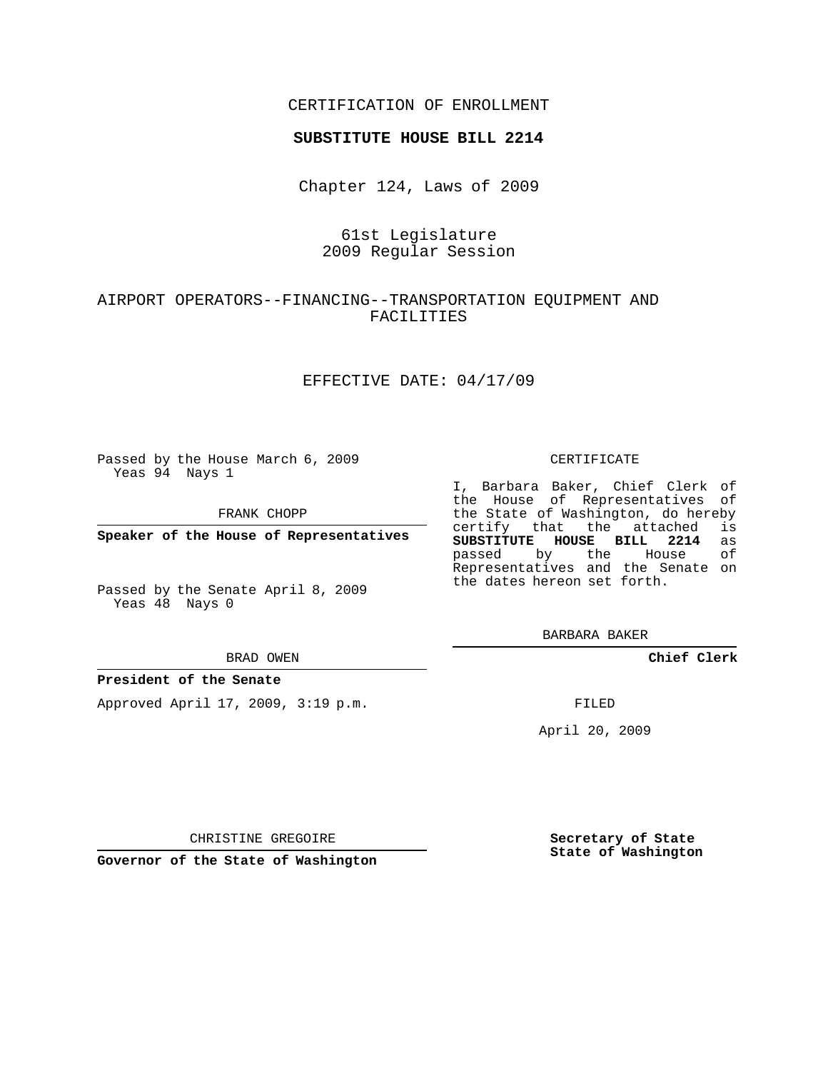## CERTIFICATION OF ENROLLMENT

### **SUBSTITUTE HOUSE BILL 2214**

Chapter 124, Laws of 2009

# 61st Legislature 2009 Regular Session

# AIRPORT OPERATORS--FINANCING--TRANSPORTATION EQUIPMENT AND FACILITIES

### EFFECTIVE DATE: 04/17/09

Passed by the House March 6, 2009 Yeas 94 Nays 1

FRANK CHOPP

**Speaker of the House of Representatives**

Passed by the Senate April 8, 2009 Yeas 48 Nays 0

#### BRAD OWEN

### **President of the Senate**

Approved April 17, 2009, 3:19 p.m.

### CERTIFICATE

I, Barbara Baker, Chief Clerk of the House of Representatives of the State of Washington, do hereby<br>certify that the attached is certify that the attached **SUBSTITUTE HOUSE BILL 2214** as passed by the Representatives and the Senate on the dates hereon set forth.

BARBARA BAKER

**Chief Clerk**

FILED

April 20, 2009

**Secretary of State State of Washington**

CHRISTINE GREGOIRE

**Governor of the State of Washington**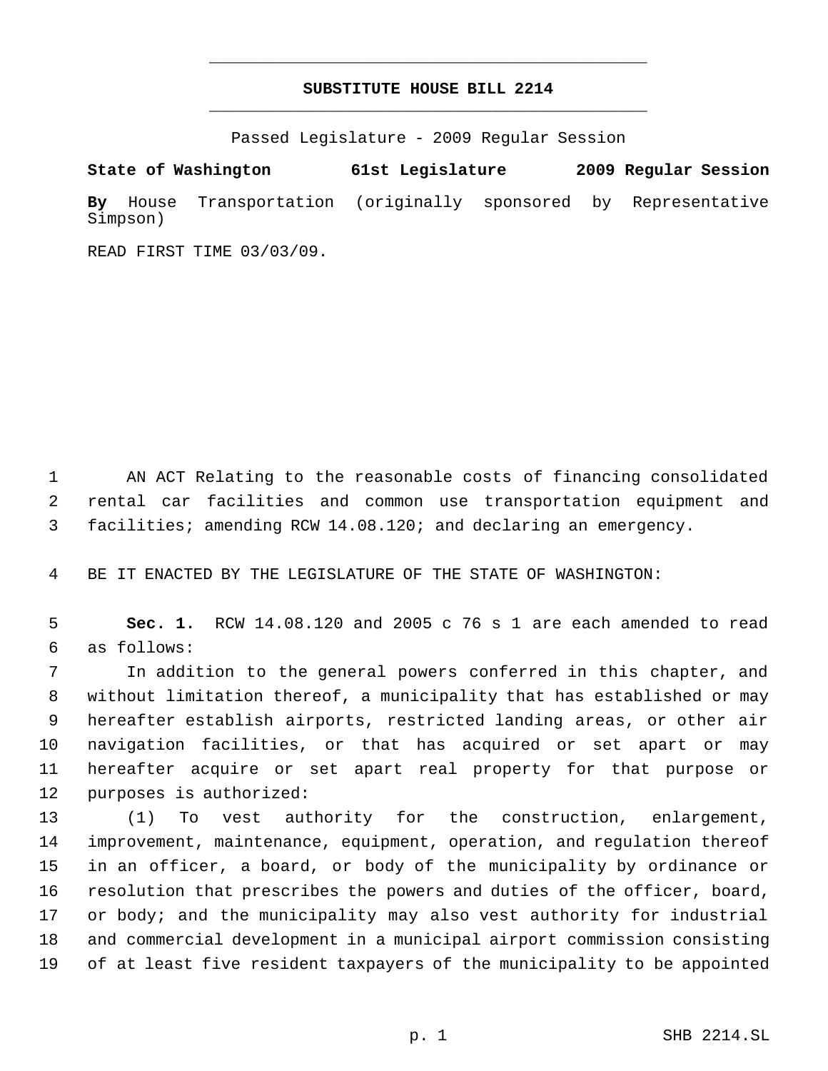# **SUBSTITUTE HOUSE BILL 2214** \_\_\_\_\_\_\_\_\_\_\_\_\_\_\_\_\_\_\_\_\_\_\_\_\_\_\_\_\_\_\_\_\_\_\_\_\_\_\_\_\_\_\_\_\_

\_\_\_\_\_\_\_\_\_\_\_\_\_\_\_\_\_\_\_\_\_\_\_\_\_\_\_\_\_\_\_\_\_\_\_\_\_\_\_\_\_\_\_\_\_

Passed Legislature - 2009 Regular Session

**State of Washington 61st Legislature 2009 Regular Session By** House Transportation (originally sponsored by Representative Simpson)

READ FIRST TIME 03/03/09.

 AN ACT Relating to the reasonable costs of financing consolidated rental car facilities and common use transportation equipment and facilities; amending RCW 14.08.120; and declaring an emergency.

BE IT ENACTED BY THE LEGISLATURE OF THE STATE OF WASHINGTON:

 **Sec. 1.** RCW 14.08.120 and 2005 c 76 s 1 are each amended to read as follows:

 In addition to the general powers conferred in this chapter, and without limitation thereof, a municipality that has established or may hereafter establish airports, restricted landing areas, or other air navigation facilities, or that has acquired or set apart or may hereafter acquire or set apart real property for that purpose or purposes is authorized:

 (1) To vest authority for the construction, enlargement, improvement, maintenance, equipment, operation, and regulation thereof in an officer, a board, or body of the municipality by ordinance or resolution that prescribes the powers and duties of the officer, board, or body; and the municipality may also vest authority for industrial and commercial development in a municipal airport commission consisting of at least five resident taxpayers of the municipality to be appointed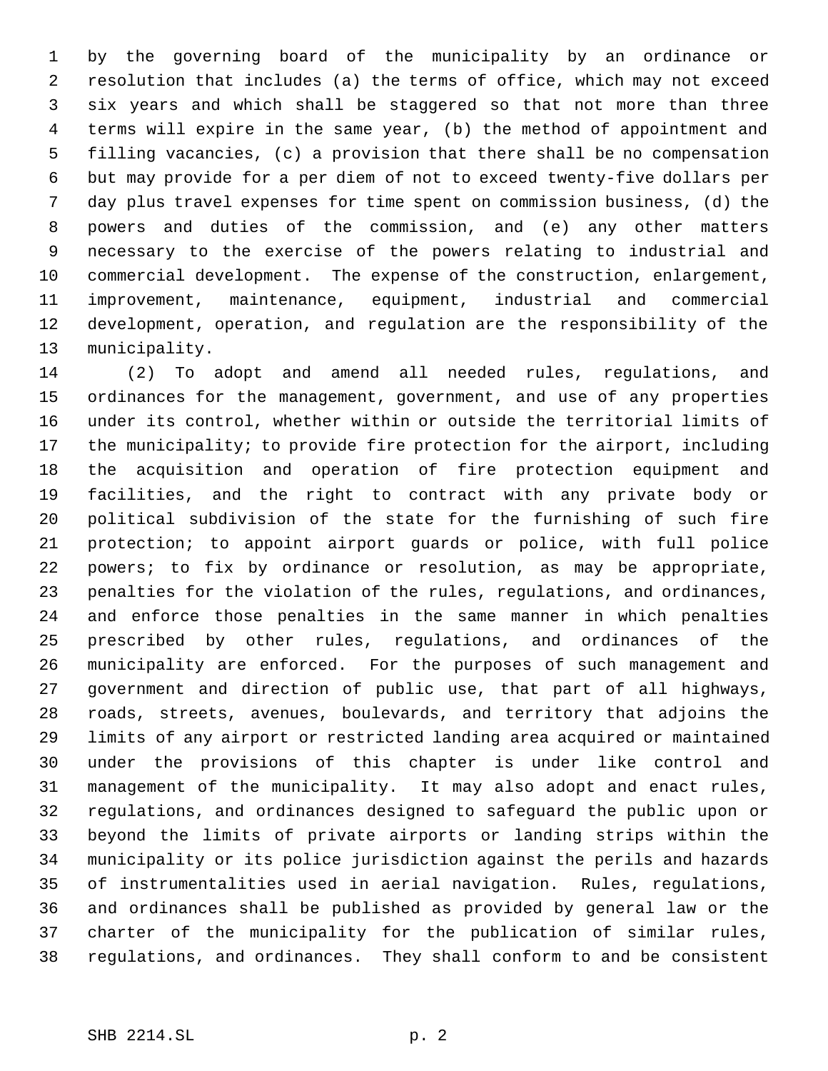by the governing board of the municipality by an ordinance or resolution that includes (a) the terms of office, which may not exceed six years and which shall be staggered so that not more than three terms will expire in the same year, (b) the method of appointment and filling vacancies, (c) a provision that there shall be no compensation but may provide for a per diem of not to exceed twenty-five dollars per day plus travel expenses for time spent on commission business, (d) the powers and duties of the commission, and (e) any other matters necessary to the exercise of the powers relating to industrial and commercial development. The expense of the construction, enlargement, improvement, maintenance, equipment, industrial and commercial development, operation, and regulation are the responsibility of the municipality.

 (2) To adopt and amend all needed rules, regulations, and ordinances for the management, government, and use of any properties under its control, whether within or outside the territorial limits of the municipality; to provide fire protection for the airport, including the acquisition and operation of fire protection equipment and facilities, and the right to contract with any private body or political subdivision of the state for the furnishing of such fire protection; to appoint airport guards or police, with full police powers; to fix by ordinance or resolution, as may be appropriate, penalties for the violation of the rules, regulations, and ordinances, and enforce those penalties in the same manner in which penalties prescribed by other rules, regulations, and ordinances of the municipality are enforced. For the purposes of such management and government and direction of public use, that part of all highways, roads, streets, avenues, boulevards, and territory that adjoins the limits of any airport or restricted landing area acquired or maintained under the provisions of this chapter is under like control and management of the municipality. It may also adopt and enact rules, regulations, and ordinances designed to safeguard the public upon or beyond the limits of private airports or landing strips within the municipality or its police jurisdiction against the perils and hazards of instrumentalities used in aerial navigation. Rules, regulations, and ordinances shall be published as provided by general law or the charter of the municipality for the publication of similar rules, regulations, and ordinances. They shall conform to and be consistent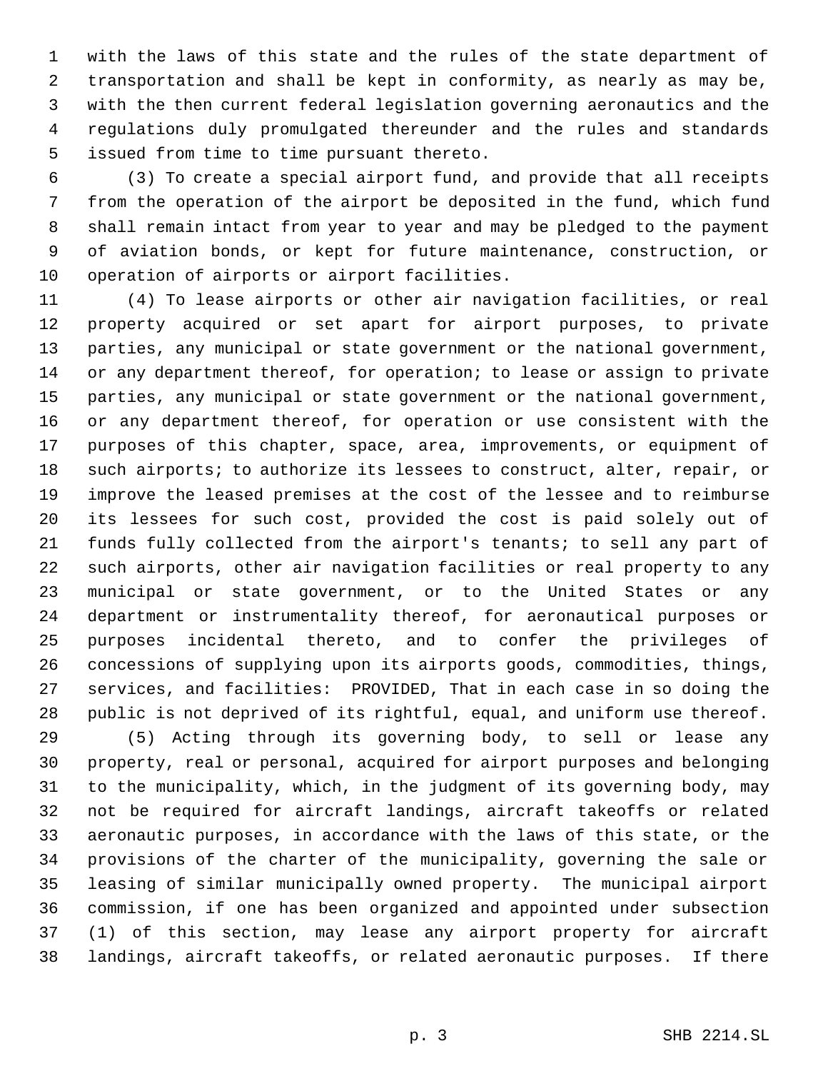with the laws of this state and the rules of the state department of transportation and shall be kept in conformity, as nearly as may be, with the then current federal legislation governing aeronautics and the regulations duly promulgated thereunder and the rules and standards issued from time to time pursuant thereto.

 (3) To create a special airport fund, and provide that all receipts from the operation of the airport be deposited in the fund, which fund shall remain intact from year to year and may be pledged to the payment of aviation bonds, or kept for future maintenance, construction, or operation of airports or airport facilities.

 (4) To lease airports or other air navigation facilities, or real property acquired or set apart for airport purposes, to private parties, any municipal or state government or the national government, 14 or any department thereof, for operation; to lease or assign to private parties, any municipal or state government or the national government, or any department thereof, for operation or use consistent with the purposes of this chapter, space, area, improvements, or equipment of 18 such airports; to authorize its lessees to construct, alter, repair, or improve the leased premises at the cost of the lessee and to reimburse its lessees for such cost, provided the cost is paid solely out of funds fully collected from the airport's tenants; to sell any part of such airports, other air navigation facilities or real property to any municipal or state government, or to the United States or any department or instrumentality thereof, for aeronautical purposes or purposes incidental thereto, and to confer the privileges of concessions of supplying upon its airports goods, commodities, things, services, and facilities: PROVIDED, That in each case in so doing the public is not deprived of its rightful, equal, and uniform use thereof.

 (5) Acting through its governing body, to sell or lease any property, real or personal, acquired for airport purposes and belonging to the municipality, which, in the judgment of its governing body, may not be required for aircraft landings, aircraft takeoffs or related aeronautic purposes, in accordance with the laws of this state, or the provisions of the charter of the municipality, governing the sale or leasing of similar municipally owned property. The municipal airport commission, if one has been organized and appointed under subsection (1) of this section, may lease any airport property for aircraft landings, aircraft takeoffs, or related aeronautic purposes. If there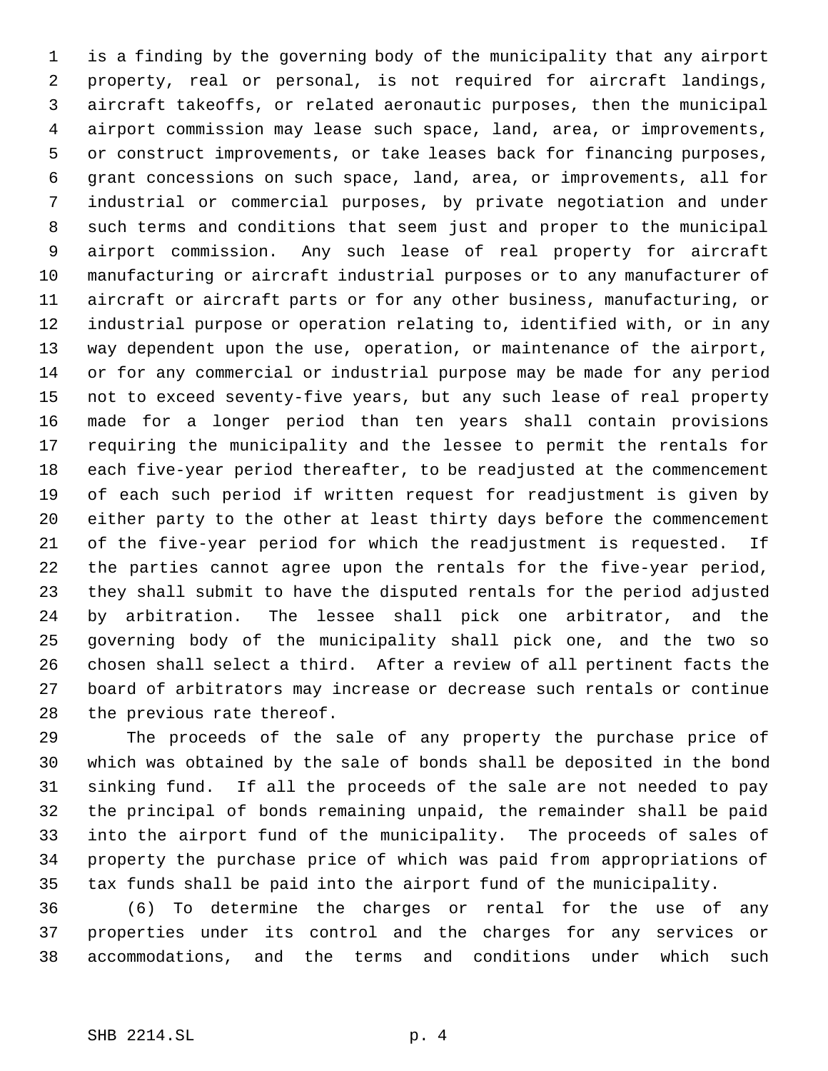is a finding by the governing body of the municipality that any airport property, real or personal, is not required for aircraft landings, aircraft takeoffs, or related aeronautic purposes, then the municipal airport commission may lease such space, land, area, or improvements, or construct improvements, or take leases back for financing purposes, grant concessions on such space, land, area, or improvements, all for industrial or commercial purposes, by private negotiation and under such terms and conditions that seem just and proper to the municipal airport commission. Any such lease of real property for aircraft manufacturing or aircraft industrial purposes or to any manufacturer of aircraft or aircraft parts or for any other business, manufacturing, or industrial purpose or operation relating to, identified with, or in any way dependent upon the use, operation, or maintenance of the airport, or for any commercial or industrial purpose may be made for any period not to exceed seventy-five years, but any such lease of real property made for a longer period than ten years shall contain provisions requiring the municipality and the lessee to permit the rentals for each five-year period thereafter, to be readjusted at the commencement of each such period if written request for readjustment is given by either party to the other at least thirty days before the commencement of the five-year period for which the readjustment is requested. If the parties cannot agree upon the rentals for the five-year period, they shall submit to have the disputed rentals for the period adjusted by arbitration. The lessee shall pick one arbitrator, and the governing body of the municipality shall pick one, and the two so chosen shall select a third. After a review of all pertinent facts the board of arbitrators may increase or decrease such rentals or continue the previous rate thereof.

 The proceeds of the sale of any property the purchase price of which was obtained by the sale of bonds shall be deposited in the bond sinking fund. If all the proceeds of the sale are not needed to pay the principal of bonds remaining unpaid, the remainder shall be paid into the airport fund of the municipality. The proceeds of sales of property the purchase price of which was paid from appropriations of tax funds shall be paid into the airport fund of the municipality.

 (6) To determine the charges or rental for the use of any properties under its control and the charges for any services or accommodations, and the terms and conditions under which such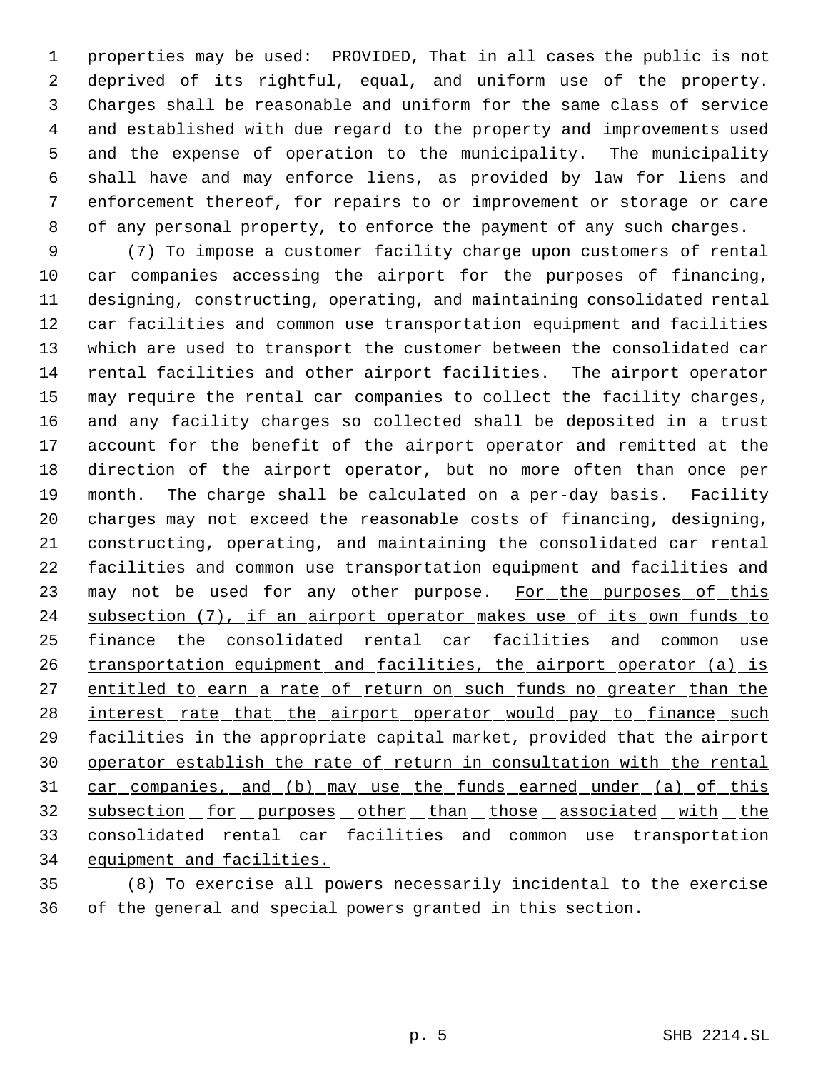properties may be used: PROVIDED, That in all cases the public is not deprived of its rightful, equal, and uniform use of the property. Charges shall be reasonable and uniform for the same class of service and established with due regard to the property and improvements used and the expense of operation to the municipality. The municipality shall have and may enforce liens, as provided by law for liens and enforcement thereof, for repairs to or improvement or storage or care of any personal property, to enforce the payment of any such charges.

 (7) To impose a customer facility charge upon customers of rental car companies accessing the airport for the purposes of financing, designing, constructing, operating, and maintaining consolidated rental car facilities and common use transportation equipment and facilities which are used to transport the customer between the consolidated car rental facilities and other airport facilities. The airport operator may require the rental car companies to collect the facility charges, and any facility charges so collected shall be deposited in a trust account for the benefit of the airport operator and remitted at the direction of the airport operator, but no more often than once per month. The charge shall be calculated on a per-day basis. Facility charges may not exceed the reasonable costs of financing, designing, constructing, operating, and maintaining the consolidated car rental facilities and common use transportation equipment and facilities and 23 may not be used for any other purpose. For the purposes of this 24 subsection (7), if an airport operator makes use of its own funds to 25 finance the consolidated rental car facilities and common use 26 transportation equipment and facilities, the airport operator (a) is 27 entitled to earn a rate of return on such funds no greater than the 28 interest rate that the airport operator would pay to finance such facilities in the appropriate capital market, provided that the airport operator establish the rate of return in consultation with the rental car companies, and (b) may use the funds earned under (a) of this 32 subsection for purposes other than those associated with the 33 consolidated rental car facilities and common use transportation equipment and facilities.

 (8) To exercise all powers necessarily incidental to the exercise of the general and special powers granted in this section.